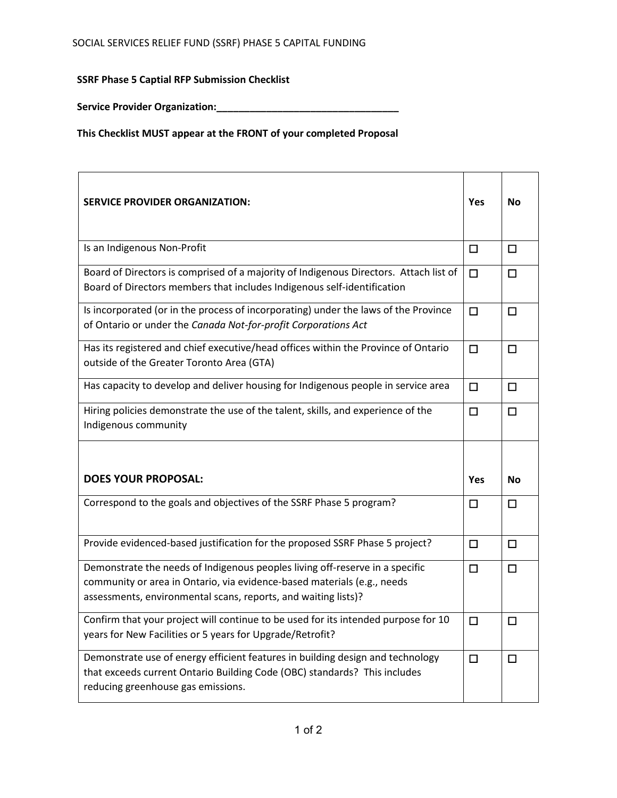**SSRF Phase 5 Captial RFP Submission Checklist** 

**Service Provider Organization:\_\_\_\_\_\_\_\_\_\_\_\_\_\_\_\_\_\_\_\_\_\_\_\_\_\_\_\_\_\_\_\_\_**

**This Checklist MUST appear at the FRONT of your completed Proposal**

| <b>SERVICE PROVIDER ORGANIZATION:</b>                                                                                                                                                                                     | Yes        | <b>No</b> |
|---------------------------------------------------------------------------------------------------------------------------------------------------------------------------------------------------------------------------|------------|-----------|
| Is an Indigenous Non-Profit                                                                                                                                                                                               | $\Box$     | $\Box$    |
| Board of Directors is comprised of a majority of Indigenous Directors. Attach list of<br>Board of Directors members that includes Indigenous self-identification                                                          | $\Box$     | $\Box$    |
| Is incorporated (or in the process of incorporating) under the laws of the Province<br>of Ontario or under the Canada Not-for-profit Corporations Act                                                                     | $\Box$     | $\Box$    |
| Has its registered and chief executive/head offices within the Province of Ontario<br>outside of the Greater Toronto Area (GTA)                                                                                           | $\Box$     | $\Box$    |
| Has capacity to develop and deliver housing for Indigenous people in service area                                                                                                                                         | $\Box$     | $\Box$    |
| Hiring policies demonstrate the use of the talent, skills, and experience of the<br>Indigenous community                                                                                                                  | $\Box$     | $\Box$    |
|                                                                                                                                                                                                                           |            |           |
| <b>DOES YOUR PROPOSAL:</b>                                                                                                                                                                                                |            |           |
|                                                                                                                                                                                                                           | <b>Yes</b> | <b>No</b> |
| Correspond to the goals and objectives of the SSRF Phase 5 program?                                                                                                                                                       | □          | $\Box$    |
| Provide evidenced-based justification for the proposed SSRF Phase 5 project?                                                                                                                                              | $\Box$     | $\Box$    |
| Demonstrate the needs of Indigenous peoples living off-reserve in a specific<br>community or area in Ontario, via evidence-based materials (e.g., needs<br>assessments, environmental scans, reports, and waiting lists)? | $\Box$     | $\Box$    |
| Confirm that your project will continue to be used for its intended purpose for 10<br>years for New Facilities or 5 years for Upgrade/Retrofit?                                                                           | $\Box$     | □         |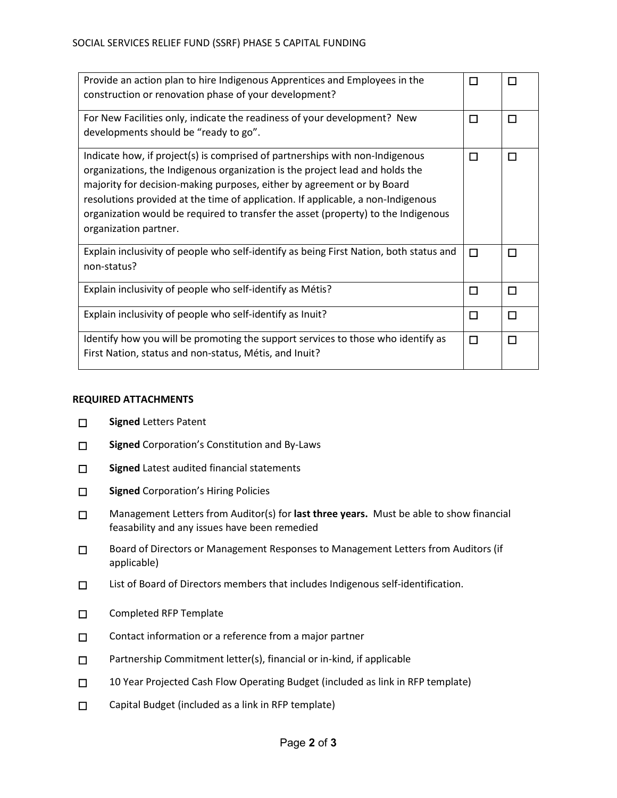| Provide an action plan to hire Indigenous Apprentices and Employees in the<br>construction or renovation phase of your development?                                                                                                                                                                                                                                                                                                      | □ | П |
|------------------------------------------------------------------------------------------------------------------------------------------------------------------------------------------------------------------------------------------------------------------------------------------------------------------------------------------------------------------------------------------------------------------------------------------|---|---|
| For New Facilities only, indicate the readiness of your development? New<br>developments should be "ready to go".                                                                                                                                                                                                                                                                                                                        | П | П |
| Indicate how, if project(s) is comprised of partnerships with non-Indigenous<br>organizations, the Indigenous organization is the project lead and holds the<br>majority for decision-making purposes, either by agreement or by Board<br>resolutions provided at the time of application. If applicable, a non-Indigenous<br>organization would be required to transfer the asset (property) to the Indigenous<br>organization partner. | П | П |
| Explain inclusivity of people who self-identify as being First Nation, both status and<br>non-status?                                                                                                                                                                                                                                                                                                                                    | □ | П |
| Explain inclusivity of people who self-identify as Métis?                                                                                                                                                                                                                                                                                                                                                                                | □ | П |
| Explain inclusivity of people who self-identify as Inuit?                                                                                                                                                                                                                                                                                                                                                                                | □ | П |
| Identify how you will be promoting the support services to those who identify as<br>First Nation, status and non-status, Métis, and Inuit?                                                                                                                                                                                                                                                                                               | □ | П |

## **REQUIRED ATTACHMENTS**

- ☐ **Signed** Letters Patent
- ☐ **Signed** Corporation's Constitution and By-Laws
- □ Signed Latest audited financial statements
- ☐ **Signed** Corporation's Hiring Policies
- ☐ Management Letters from Auditor(s) for **last three years.** Must be able to show financial feasability and any issues have been remedied
- ☐ Board of Directors or Management Responses to Management Letters from Auditors (if applicable)
- ☐ List of Board of Directors members that includes Indigenous self-identification.
- ☐ Completed RFP Template
- □ Contact information or a reference from a major partner
- □ Partnership Commitment letter(s), financial or in-kind, if applicable
- □ 10 Year Projected Cash Flow Operating Budget (included as link in RFP template)
- ☐ Capital Budget (included as a link in RFP template)